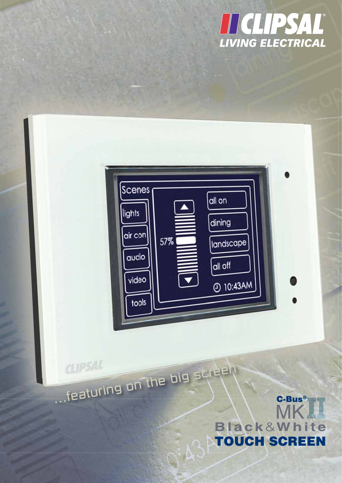



# .featuring on the big screen C-Bus® MK **Black&White TOUCH SCREEN**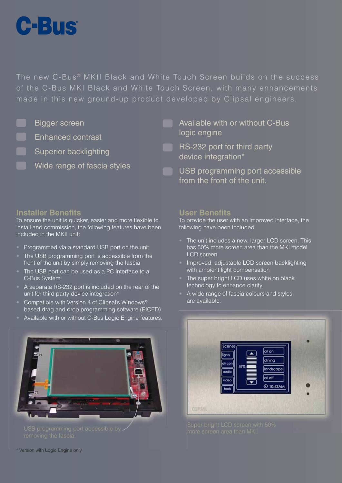

The new C-Bus<sup>®</sup> MKII Black and White Touch Screen builds on the success of the C-Bus MKI Black and White Touch Screen, with many enhancements made in this new ground-up product developed by Clipsal engineers.

- Bigger screen
- Enhanced contrast
- Superior backlighting
	- Wide range of fascia styles
- Available with or without C-Bus logic engine
- RS-232 port for third party device integration\*
	- USB programming port accessible from the front of the unit.

# **Installer Benefits**

To ensure the unit is quicker, easier and more flexible to install and commission, the following features have been included in the MKII unit:

- Programmed via a standard USB port on the unit
- The USB programming port is accessible from the front of the unit by simply removing the fascia
- The USB port can be used as a PC interface to a C-Bus System
- A separate RS-232 port is included on the rear of the unit for third party device integration\*
- Compatible with Version 4 of Clipsal's Windows® based drag and drop programming software (PICED)
- Available with or without C-Bus Logic Engine features.



# **User Benefits**

To provide the user with an improved interface, the following have been included:

- The unit includes a new, larger LCD screen. This has 50% more screen area than the MKI model LCD screen
- Improved, adjustable LCD screen backlighting with ambient light compensation
- The super bright LCD uses white on black technology to enhance clarity
- A wide range of fascia colours and styles are available.



\* Version with Logic Engine only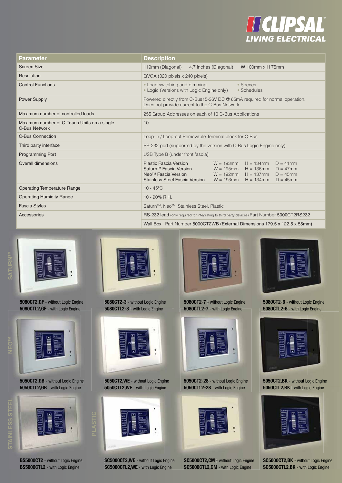

| <b>Parameter</b>                                             | <b>Description</b>                                                                                                                                                                                                                                                                                                            |  |  |
|--------------------------------------------------------------|-------------------------------------------------------------------------------------------------------------------------------------------------------------------------------------------------------------------------------------------------------------------------------------------------------------------------------|--|--|
| <b>Screen Size</b>                                           | 119mm (Diagonal)<br>4.7 inches (Diagonal)<br>W 100mm $\times$ H 75mm                                                                                                                                                                                                                                                          |  |  |
| Resolution                                                   | QVGA (320 pixels x 240 pixels)                                                                                                                                                                                                                                                                                                |  |  |
| <b>Control Functions</b>                                     | • Load switching and dimming<br>• Scenes<br>• Logic (Versions with Logic Engine only)<br>• Schedules                                                                                                                                                                                                                          |  |  |
| <b>Power Supply</b>                                          | Powered directly from C-Bus15-36V DC @ 65mA required for normal operation.<br>Does not provide current to the C-Bus Network.                                                                                                                                                                                                  |  |  |
| Maximum number of controlled loads                           | 255 Group Addresses on each of 10 C-Bus Applications                                                                                                                                                                                                                                                                          |  |  |
| Maximum number of C-Touch Units on a single<br>C-Bus Network | 10                                                                                                                                                                                                                                                                                                                            |  |  |
| <b>C-Bus Connection</b>                                      | Loop-in / Loop-out Removable Terminal block for C-Bus                                                                                                                                                                                                                                                                         |  |  |
| Third party interface                                        | RS-232 port (supported by the version with C-Bus Logic Engine only)                                                                                                                                                                                                                                                           |  |  |
| <b>Programming Port</b>                                      | USB Type B (under front fascia)                                                                                                                                                                                                                                                                                               |  |  |
| Overall dimensions                                           | Plastic Fascia Version<br>$W = 193$ mm<br>$H = 134$ mm<br>$D = 41$ mm<br>Saturn <sup>™</sup> Fascia Version<br>$H = 136$ mm<br>$W = 195$ mm<br>$D = 47$ mm<br>Neo <sup>™</sup> Fascia Version<br>$W = 192$ mm<br>$H = 137$ mm<br>$D = 45$ mm<br>Stainless Steel Fascia Version<br>$W = 193$ mm<br>$H = 134$ mm<br>$D = 45$ mm |  |  |
| <b>Operating Temperature Range</b>                           | $10 - 45^{\circ}$ C                                                                                                                                                                                                                                                                                                           |  |  |
| <b>Operating Humidity Range</b>                              | 10 - 90% R.H.                                                                                                                                                                                                                                                                                                                 |  |  |
| <b>Fascia Styles</b>                                         | Saturn <sup>™</sup> , Neo <sup>™</sup> , Stainless Steel, Plastic                                                                                                                                                                                                                                                             |  |  |
| <b>Accessories</b>                                           | RS-232 lead (only required for integrating to third party devices) Part Number 5000CT2RS232                                                                                                                                                                                                                                   |  |  |
|                                                              | Wall Box Part Number 5000CT2WB (External Dimensions 179.5 x 122.5 x 55mm)                                                                                                                                                                                                                                                     |  |  |



**5080CT2,GF** - without Logic Engine **5080CTL2,GF** - with Logic Engine



**5050CT2,GB** - without Logic Engine **5050CTL2,GB** - with Logic Engine



**PLASTIC**

**BS5000CT2** - without Logic Engine **BS5000CTL2** - with Logic Engine



**5080CT2-3** - without Logic Engine **5080CTL2-3** - with Logic Engine



**5050CT2,WE** - without Logic Engine **5050CTL2,WE** - with Logic Engine



**SC5000CT2,WE** - without Logic Engine **SC5000CTL2,WE** - with Logic Engine



**5080CT2-7** - without Logic Engine **5080CTL2-7** - with Logic Engine



**5080CT2-6** - without Logic Engine **5080CTL2-6** - with Logic Engine



**5050CT2,BK** - without Logic Engine 5050CTL2, BK - with Logic Engine



**SC5000CT2,BK** - without Logic Engine **SC5000CTL2,BK** - with Logic Engine



**5050CT2-28** - without Logic Engine **5050CTL2-28** - with Logic Engine